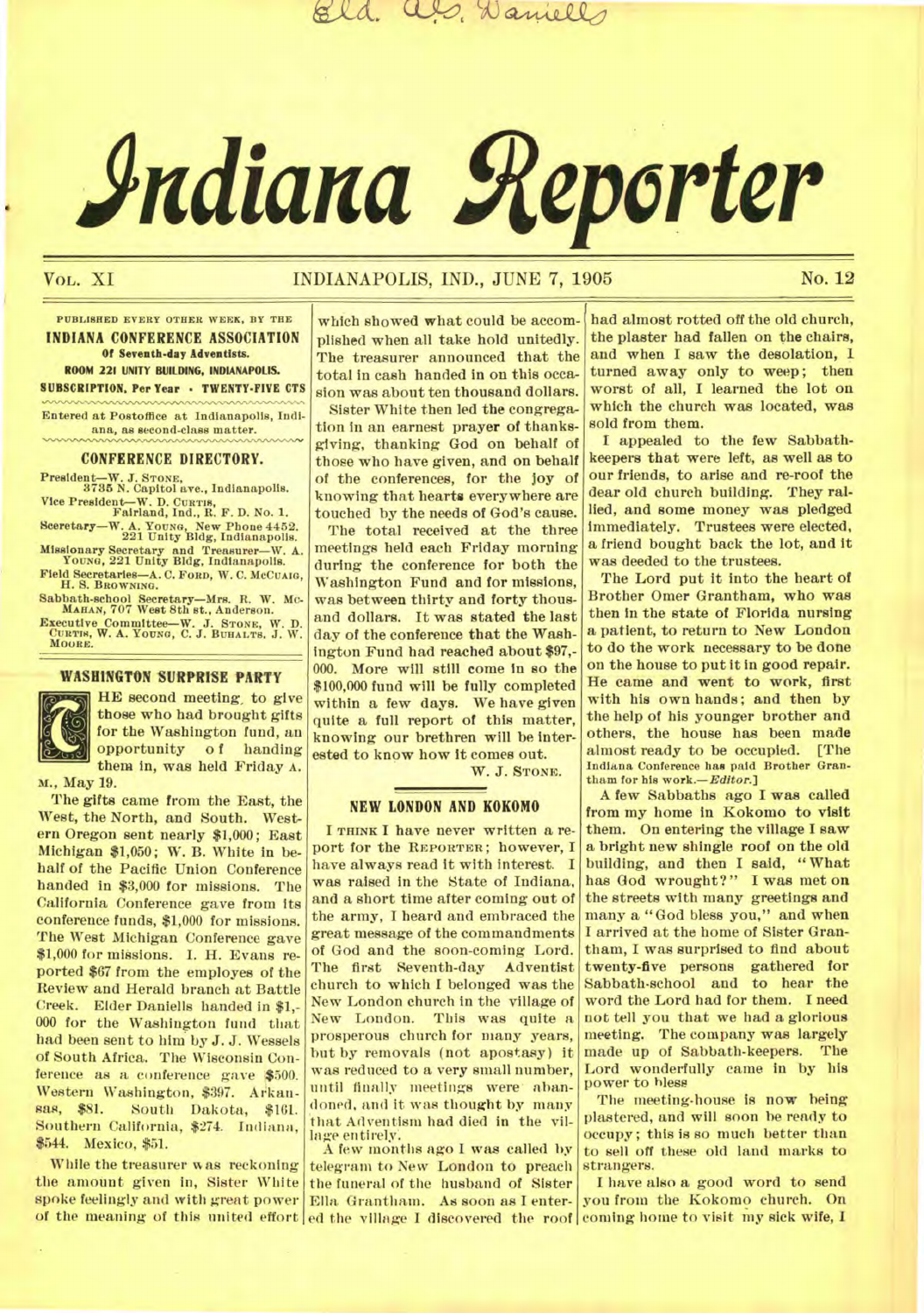als, Daniells

# **Adiana Reporter**

# Vol. XI **INDIANAPOLIS, IND., JUNE 7, 1905** No. 12

**PUBLISHED EVERY OTHER WEEK, BY THE INDIANA CONFERENCE ASSOCIATION Of Seventh-day Adventists. ROOM 221 UNITY BUILDING, INDIANAPOLIS. SUBSCRIPTION. Per Year - TWENTY-FIVE CTS** 

**Entered at Postoffice at Indianapolis, Indiana, as second-class matter.** 

#### CONFERENCE DIRECTORY.

**President—W. J. STONE, 3735 N. Capitol ave., Indianapolis.** 

**Vice President—W. D. CURTIN, Fairland, Ind., R. F. D. No. 1. Sceretary—W. A. YOUNG, New Phone 4452. 221 Unity Bldg, Indianapolis.** 

**Missionary Secretary and Treasurer—W.** *A.*  **YOUNG, 221** *Unity* **Bldg, Indianapolis.** 

Field Secretaries-A. C. FORD, W. C. McCUAIG, **H. S. BROWNING.** 

**Sabbath-school Secretary—Mrs. R. W. Mc-MAHAN, 707 West 8th st., Anderson.** 

**Executive Committee—W. J. STONE, W. D. CURTIN, W. A. YOUNG, C. J. BURALTS. J. W. MOORE.** 

### **WASHINGTON SURPRISE PARTY**



HE second meeting, to give those who had brought gifts for the Washington fund, an opportunity o f handing them in, was held Friday **A.** 

M., May 19.

The gifts came from the East, the West, the North, and South. Western Oregon sent nearly \$1,000; East Michigan \$1,050; W. B. White in behalf of the Pacific Union Conference handed in \$3,000 for missions. The California Conference gave from its conference funds, \$1,000 for missions. The West Michigan Conference gave \$1,000 for missions. I. H. Evans reported \$67 from the employes of the Review and Herald branch at Battle Creek. Elder Daniells handed in \$1,- 000 for the Washington fund that had been sent to him by J. J. Wessels of South Africa. The Wisconsin Conference as a conference gave \$500. Western Washington, \$397. Arkan-<br>sas, \$81. South Dakota, \$161. South Dakota, \$161. Southern California, \$274. Indiana, \$544. Mexico, \$51.

While the treasurer was reckoning the amount given in, Sister White spoke feelingly and with great power of the meaning of this united effort

which showed what could be accomplished when all take hold unitedly. The treasurer announced that the total in cash handed in on this occasion was about ten thousand dollars. Sister White then led the congregation in an earnest prayer of thanksgiving, thanking God on behalf of those who have given, and on behalf of the conferences, for the joy of knowing that hearts everywhere are touched by the needs of God's cause.

The total received at the three meetings held each Friday morning during the conference for both the Washington Fund and for missions, was between thirty and forty thousand dollars. It was stated the last day of the conference that the Washington Fund had reached about \$97,- 000. More will still come in so the \$100,000 fund will be fully completed within a few days. We have given quite a full report of this matter, knowing our brethren will be interested to know how it comes out.

W. J. **STONE**.

#### **NEW LONDON AND KOKOMO**

**I THINK** I have never written a report for the **REPORTER;** however, I have always read it with interest. I was raised in the State of Indiana. and a short time after coming out of the army, I heard and embraced the great message of the commandments of God and the soon-coming Lord.<br>The first Seventh-day Adventist The first Seventh-day church to which I belonged was the New London church in the village of New London. This was quite a prosperous church for many years, but by removals (not apostasy) it was reduced to a very small number, until finally meetings were abandoned, and it was thought by many that Adventism had died in the village entirely.

A few months ago I was called by telegram to New London to preach the funeral of the husband of Sister Ella Grantham. As soon as I enter-

had almost rotted off the old church, the plaster had fallen on the chairs, and when I saw the desolation, 1 turned away only to weep; then worst of all, I learned the lot on which the church was located, was sold from them.

I appealed to the few Sabbathkeepers that were left, as well as to our friends, to arise and re-roof the dear old church building. They rallied, and **some money** was pledged immediately. Trustees were elected, a friend bought back the lot, and it was *deeded* to the trustees.

The Lord put it into the heart of Brother Omer Grantham, who **was**  then in the state of Florida nursing a patient, to return to New London to do the work necessary to be done on the house to put it in good repair. He came and **went** to work, first with his own hands; and then by the help of his younger brother and others, the house has been *made*  almost ready to be occupied. [The **Indiana Conference has paid Brother Orantham for his work.—***Editor.]* 

A few Sabbaths ago **I was** called from my home in Kokomo to visit them. On entering the village I saw a bright new shingle roof on the old building, and then I said, " What has God wrought?" I was met on the streets with many greetings and many a "God bless you," and when I arrived at the home of Sister Grantham, I was surprised to find about twenty-five persons gathered for Sabbath-school and to hear the word the Lord had for them. I need not tell you that we had a glorious meeting. The company was largely made up of Sabbath-keepers. The Lord wonderfully came in by his power to bless

The meeting-house is now being plastered, and will soon be ready to occupy ; this is so much better than to sell off these old land marks to strangers.

ed the village I discovered the roof coming home to visit my sick wife, I I have also a good word to send you from the Kokomo church. On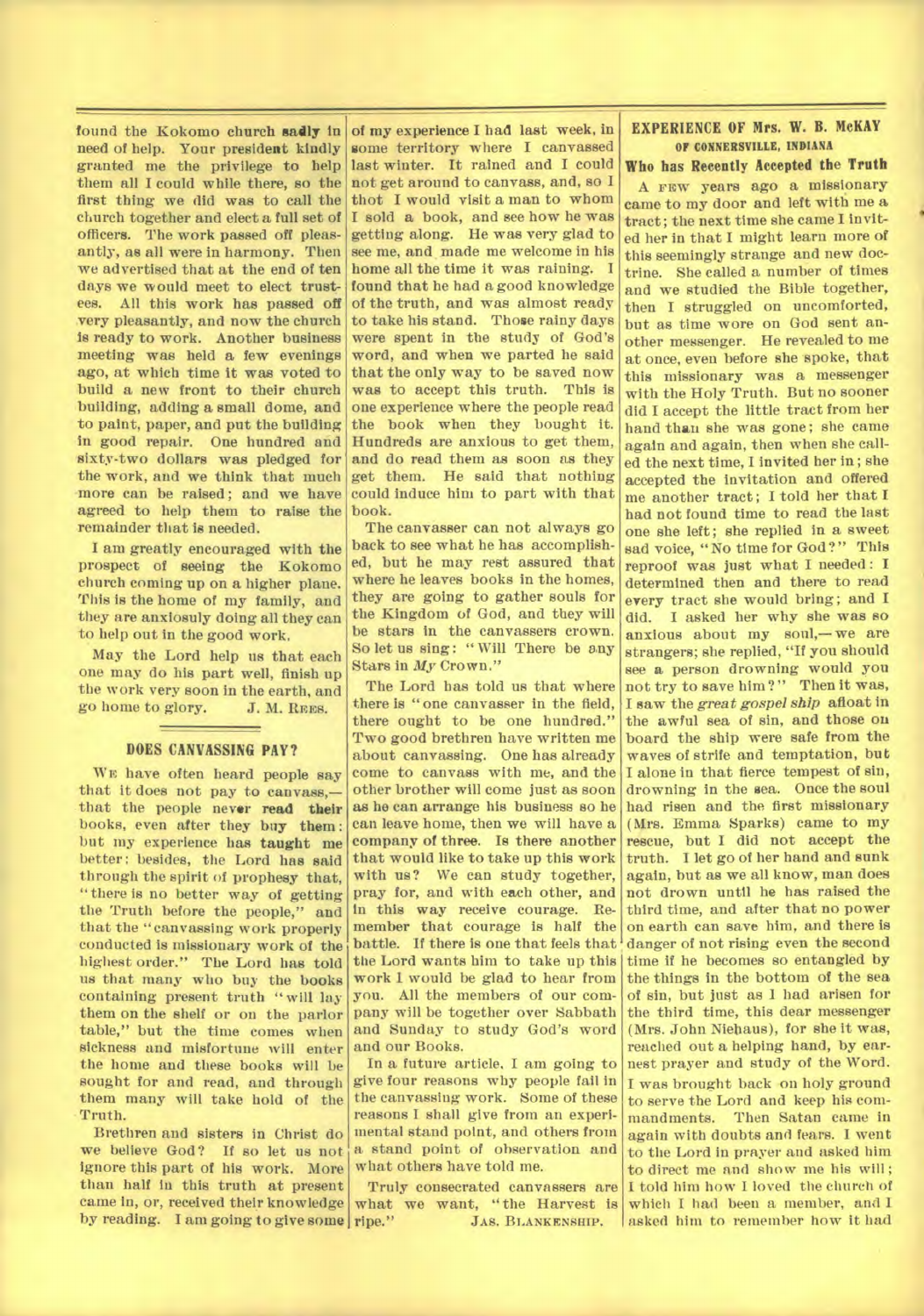found the Kokomo church sadly in need of help. Your president kindly granted me the privilege to help them all I could while there, so the first thing we did was to call the church together and elect a full set of officers. The work passed off pleasantly, as all were in harmony. Then we advertised that at the end of ten days we would meet to elect trustees. All this work has passed off very pleasantly, and now the church is ready to work. Another business meeting was held a few evenings ago, at which time it was voted to build a new front to their church building, adding a small dome, and to paint, paper, and put the building in good repair. One hundred and sixty-two dollars was pledged for the work, and we think that much more can be raised; and we have agreed to help them to raise the remainder that is needed.

I am greatly encouraged with **the**  prospect of seeing the Kokomo church coming up on a higher plane. This is the home of my family, and they are anxiosuly doing all they can to help out in the good work.

May the Lord help us that each one may do his part well, finish up the work very soon in the earth, and go home to glory. J. M. **REES.** 

#### **DOES CANVASSING PAY?**

**WE** have often heard people say that it does not pay to canvass, that the people never **read their**  books, even after they buy **them:**  but my experience has taught me better: besides, the Lord has said through the spirit **of prophesy** that, "there is no better way of getting the Truth before the people," and that the "canvassing work properly conducted is missionary work of the highest order." The Lord has told us that many who buy the books containing present truth "will lay them on the shelf or on the parlor table," but the time comes when sickness and misfortune will enter the home and these books will be sought for and read, and through them many will take hold of the Truth.

Brethren and sisters in Christ do we believe God? If so let us not ignore this part of his work. More than half in this truth at present came in, or, received their knowledge by reading. I am going to give some ripe."

**of my experience I had last week, in some** territory where I canvassed last winter. It rained and I could not get around to canvass, and, so I thot I would visit a man to whom I sold **a** book, and *see* how he was getting along. He was very glad to see me, and made me welcome in his home all the time it was raining. I found that he had a good knowledge of the truth, and was almost ready to take his stand. Those rainy days were spent in the study of God's word, and when we parted he said that the only way to be saved now was to accept this truth. This is one experience where the people read the book when they bought it. Hundreds are anxious to get them, and do read them as soon as they get them. He said that nothing could induce him to part with that book.

The canvasser can not always go back to see what be has accomplished, but he may rest assured that where *he* leaves books in the homes, they are going to gather souls for the Kingdom of God, and they will be stars in the canvassers crown. So let us sing: " Will There be any Stars in *My* Crown."

The Lord has told us that where there is " one canvasser in the field, there ought to be one hundred." Two good brethren have written me about canvassing. One has already come to canvass with me, and the other brother will come just as soon as he can arrange his business so he can leave home, then we will have a company of three. Is there another that would like to take up this work with us? We can study together, pray for, and with each other, and in this way receive courage. Remember that courage is half the battle. If there is one that feels that the Lord wants him to take up this work 1 would be glad to hear from you. All the members of our company will be together over Sabbath and Sunday to study God's word and our Books.

In a future article. I am going to give four reasons why people fail in the canvassing work. Some of these reasons I shall give from an experimental stand point, and others from a stand point of observation and what others have told me.

Truly consecrated canvassers are what we want, "the Harvest is JAS. BLANKENSHIP.

#### **EXPERIENCE OF Mrs. W. B. McKAY Or CONNERSVILLE, INDIANA**

**Who has Recently Accepted the Truth** 

A **FEW** years ago a missionary came to my door and left with me a tract; the next time she came I invited her in that I might learn more of this seemingly strange and new doctrine. She called a number of times and we studied the Bible together, then I struggled on uncomforted, but as time wore on God sent another messenger. He revealed to me at once, even before she spoke, that this missionary was a messenger with the Holy Truth. But no sooner did I accept the little tract from her hand than she was gone; she came again and again, then when she called the next time, I invited her in; she accepted the invitation and offered me another tract; I told her that I had not found time to read the last one she left; she replied in a sweet sad voice, "No time for God?" This reproof was just what I needed : **I**  determined then and there to read every tract she would bring; and I did. I asked her why she was so anxious about my soul,—we are strangers; she replied, "If you should see a person drowning would you not try to save him?" Then it was, I saw the *great gospel ship afloat* in the awful sea of sin, and those on board the ship were safe from the waves of strife and temptation, but I alone in that fierce tempest of sin, drowning in the sea. Once the soul had risen and the first missionary (Mrs. Emma Sparks) came to my rescue, but I did not accept the truth. I let go of her hand and sunk again, but as we all know, man does not drown until he has raised the third time, and after that no power on earth can save him, and there is danger of not rising even the second time if he becomes so entangled by the things in the bottom of the sea of sin, but just as I had arisen for the third time, this dear messenger (Mrs. John Niehaus), for she it was, reached out a helping hand, by earnest prayer and study of the Word. I was brought back on holy ground to serve the Lord and keep his commandments. Then Satan came in again with doubts and fears. I went to the Lord in prayer and asked him to direct me and show me his will; I told him how I loved the church of which I had been a member, and I asked him to remember how it had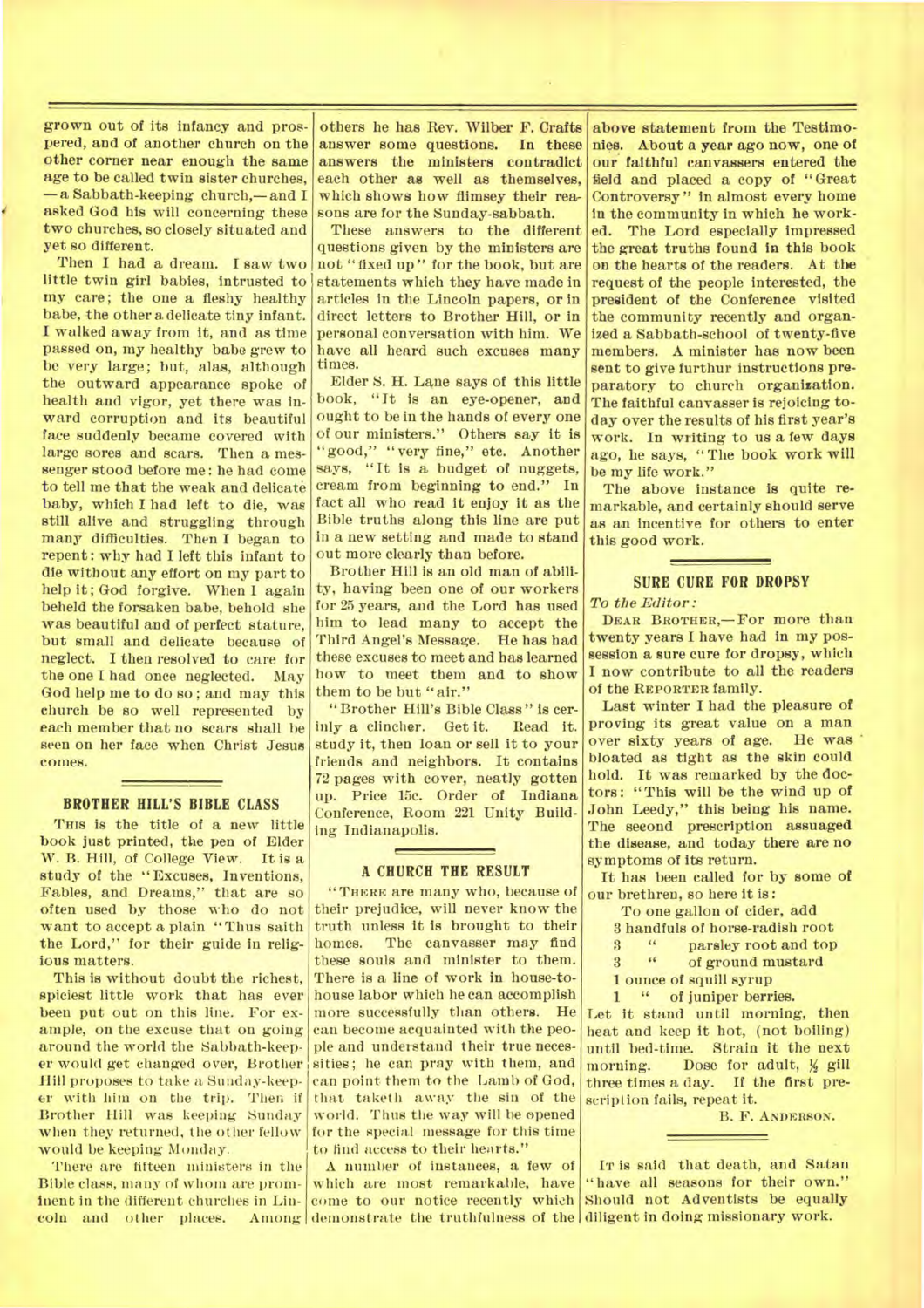grown out of its infancy and prospered, and of another church on the other corner near enough the same age to be called twin sister churches, —a Sabbath-keeping church,— and I asked God his will concerning these two churches, so closely situated and yet so different.

Then I had a dream. I saw two little twin girl babies, intrusted to my care; the one a fleshy healthy babe, the other a delicate tiny infant. I walked away from it, and as time passed on, my healthy babe grew to be very large; but, alas, although the outward appearance spoke of health and vigor, yet there was inward corruption and its beautiful face suddenly became covered with large sores and scars. Then a messenger stood before me : he had come to tell me that the weak and delicate baby, which I had left to die, was still alive and struggling through many difficulties. Then I began to repent: why had I left this infant to die without any effort on my part to help it; God forgive. When I again beheld the forsaken babe, behold she was beautiful and of perfect stature, but small and delicate because of neglect. I then resolved to care for the one I had once neglected. May God help me to do so; and may this church be so well represented by each member that no scars shall he seen on her face when Christ Jesus comes.

#### **BROTHER HILL'S BIBLE CLASS**

**Tins** is the title of a *new* little book just printed, the pen of Elder W. B. Hill, of College View. It is a study of the "Excuses, Inventions, Fables, and Dreams," that are so often used by those who do not want to accept a plain "Thus saith the Lord," for their guide in religious matters.

This is without doubt the richest, spiciest little work that has ever been put out on this line. For example, on the excuse that on going around the world the Sabbath-keeper would get changed over, Brother Hill proposes to take a Sunday-keeper with him on the trip. Then if Brother Hill was keeping Sunday when they returned, the other fellow would be keeping Monday.

There are fifteen ministers in the Bible class, many of whom are prominent in the different churches in Linothers he has Rev. Wilber F. Crafts answer some questions. In these answers the ministers contradict each other as well as themselves, which shows how flimsey their reasons are for the Sunday-sabbath.

These answers to the different questions given by the ministers are not "fixed up" for the book, but are statements which they have made in articles in the Lincoln papers, or in direct letters to Brother Hill, or in personal conversation with him. We have all beard such excuses many times.

Elder S. H. Lane *says* of this little book, "It is an eye-opener, and ought to be in the hands of every one of our ministers." Others say it is "good," "very fine," etc. Another says, "It is a budget of nuggets, cream from beginning to end." In fact all who read it enjoy it as the Bible truths along this line are put in a new setting and made to stand out more clearly than before.

Brother Hill is an old man of ability, having been one of our workers for 25 years, and the Lord has used him to lead many to accept the Third Angel's Message. He has had these excuses to meet and has learned how to meet them and to show them to be but "air."

"Brother Hill's Bible Class" is cerinly a clincher. Get it. Read it. study it, then loan or sell it to your friends and neighbors. It contains 72 pages with cover, neatly gotten up. Price 15c. Order of Indiana Conference, Room 221 Unity Building Indianapolis.

#### **A CHURCH THE RESULT**

**"THERE** are many who, because of their prejudice, will never know the truth unless it is brought to their homes. The canvasser may find these souls and minister to them. There is a line of work in house-tohouse labor which he can accomplish more successfully than others. He can become acquainted with the people and understand their true necessities; he can pray with them, and can point them to the Lamb of God, that, taketh away the sin of the world. Thus the way will he opened for the special message for this time to find access to their hearts."

coln and other places. Among demonstrate the truthfulness of the diligent in doing missionary work. A number of instances, a few of which are most remarkable, have come to our notice recently which Should not Adventists be equally

above statement from the Testimonies. About a year ago now, one of our faithful canvassers entered the field and placed a copy of "Great Controversy" in almost every home in the community in which he worked. The Lord especially impressed the great truths found in this book on the hearts of the readers. At the request of the people interested, the president of the Conference visited the community recently and organized a Sabbath-school of twenty-five members. A minister has now been sent to give furthur instructions preparatory to church organization. The faithful canvasser is rejoicing today over the results of his first year's work. In writing to us a few days ago, he says, "The book work will be my life work."

The above instance is quite remarkable, and certainly should serve as an incentive for others to enter this good work.

# **SURE CURE FOR DROPSY**

*To the Editor:* 

**DEAR BROTHER,—For** more than twenty years I have had in my possession a sure cure for dropsy, which I now contribute to all the readers of the **REPORTER** family.

Last winter I had the pleasure of proving its great value on a man over sixty years of age. He was bloated as tight as the skin could hold. It was remarked by the doctors: "This will be the wind up of John Leedy," this *being* his name. The seeond prescription assuaged the disease, and today there are no symptoms of its return.

It has been called for by some of our brethren, so here it is :

To one gallon of cider, add

3 handfuls of horse-radish root

- <sup>3</sup> <sup>4</sup> **parsley root and top**<br><sup>3</sup> <sup>4</sup> **of ground mustard**
- 3 " of ground mustard
- 1 ounce of squill syrup

1 " of juniper berries.

Let it stand until morning, then heat and keep it hot, (not boiling) until bed-time. Strain it the next morning. Dose for adult,  $\frac{1}{2}$  gill three times a day. If the first prescription fails, repeat it.

B. F. **ANDERSON.** 

**IT** is said that death, and Satan "have all seasons for their own."